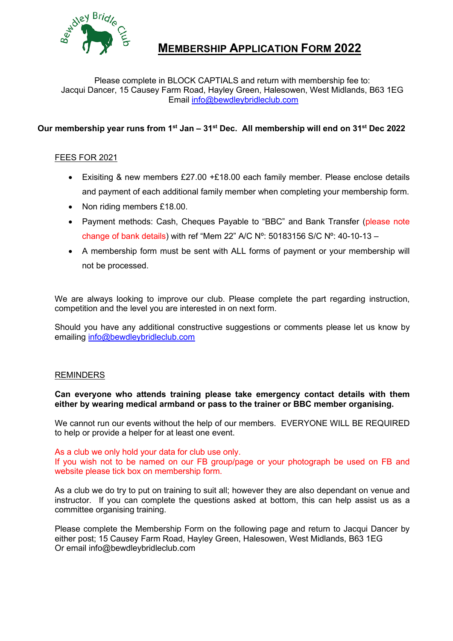

# **MEMBERSHIP APPLICATION FORM 2022**

Please complete in BLOCK CAPTIALS and return with membership fee to: Jacqui Dancer, 15 Causey Farm Road, Hayley Green, Halesowen, West Midlands, B63 1EG Email [info@bewdleybridleclub.com](mailto:info@bewdleybridleclub.com)

### **Our membership year runs from 1st Jan – 31st Dec. All membership will end on 31st Dec 2022**

#### FEES FOR 2021

- Exisiting & new members £27.00 +£18.00 each family member. Please enclose details and payment of each additional family member when completing your membership form.
- Non riding members £18.00.
- Payment methods: Cash, Cheques Payable to "BBC" and Bank Transfer (please note change of bank details) with ref "Mem 22" A/C Nº: 50183156 S/C Nº: 40-10-13 –
- A membership form must be sent with ALL forms of payment or your membership will not be processed.

We are always looking to improve our club. Please complete the part regarding instruction, competition and the level you are interested in on next form.

Should you have any additional constructive suggestions or comments please let us know by emailing [info@bewdleybridleclub.com](mailto:info@bewdleybridleclub.com)

#### REMINDERS

#### **Can everyone who attends training please take emergency contact details with them either by wearing medical armband or pass to the trainer or BBC member organising.**

We cannot run our events without the help of our members. EVERYONE WILL BE REQUIRED to help or provide a helper for at least one event.

As a club we only hold your data for club use only.

If you wish not to be named on our FB group/page or your photograph be used on FB and website please tick box on membership form.

As a club we do try to put on training to suit all; however they are also dependant on venue and instructor. If you can complete the questions asked at bottom, this can help assist us as a committee organising training.

Please complete the Membership Form on the following page and return to Jacqui Dancer by either post; 15 Causey Farm Road, Hayley Green, Halesowen, West Midlands, B63 1EG Or email info@bewdleybridleclub.com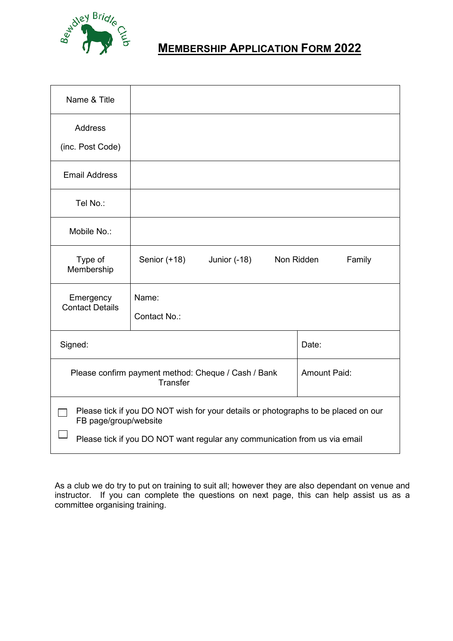

# **MEMBERSHIP APPLICATION FORM 2022**

| Name & Title                                                                                                                                                                              |                                                      |  |  |  |  |
|-------------------------------------------------------------------------------------------------------------------------------------------------------------------------------------------|------------------------------------------------------|--|--|--|--|
| <b>Address</b><br>(inc. Post Code)                                                                                                                                                        |                                                      |  |  |  |  |
| <b>Email Address</b>                                                                                                                                                                      |                                                      |  |  |  |  |
| Tel No.:                                                                                                                                                                                  |                                                      |  |  |  |  |
| Mobile No.:                                                                                                                                                                               |                                                      |  |  |  |  |
| Type of<br>Membership                                                                                                                                                                     | Senior (+18)<br>Junior (-18)<br>Non Ridden<br>Family |  |  |  |  |
| Emergency<br><b>Contact Details</b>                                                                                                                                                       | Name:<br>Contact No.:                                |  |  |  |  |
| Signed:                                                                                                                                                                                   | Date:                                                |  |  |  |  |
| Please confirm payment method: Cheque / Cash / Bank                                                                                                                                       | <b>Amount Paid:</b>                                  |  |  |  |  |
| Please tick if you DO NOT wish for your details or photographs to be placed on our<br>FB page/group/website<br>Please tick if you DO NOT want regular any communication from us via email |                                                      |  |  |  |  |

As a club we do try to put on training to suit all; however they are also dependant on venue and instructor. If you can complete the questions on next page, this can help assist us as a committee organising training.